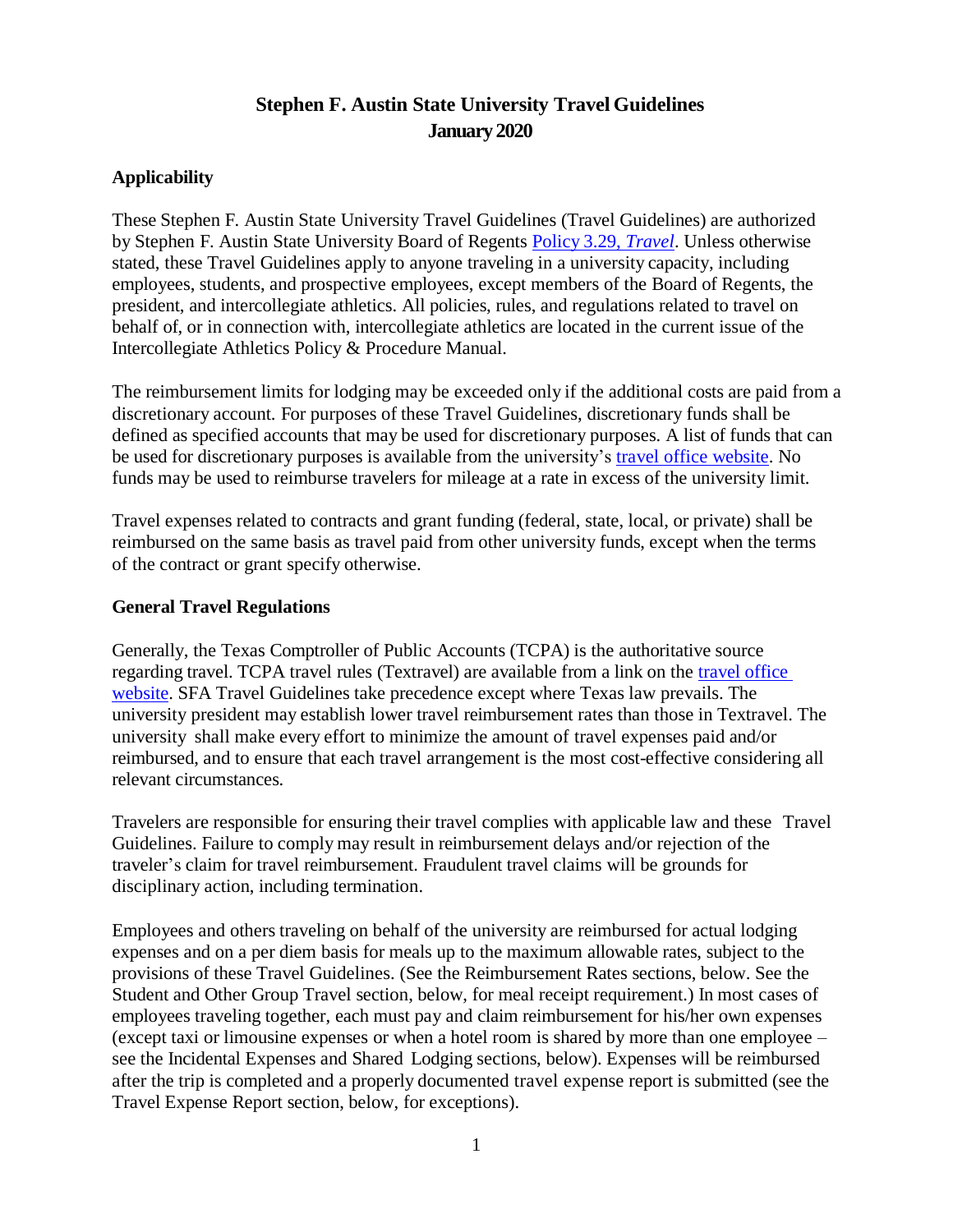# **Stephen F. Austin State University Travel Guidelines January 2020**

### **Applicability**

These Stephen F. Austin State University Travel Guidelines (Travel Guidelines) are authorized by Stephen F. Austin State University Board of Regents Policy 3.29, *[Travel](http://www.sfasu.edu/policies/travel-3.29.pdf)*. Unless otherwise stated, these Travel Guidelines apply to anyone traveling in a university capacity, including employees, students, and prospective employees, except members of the Board of Regents, the president, and intercollegiate athletics. All policies, rules, and regulations related to travel on behalf of, or in connection with, intercollegiate athletics are located in the current issue of the Intercollegiate Athletics Policy & Procedure Manual.

The reimbursement limits for lodging may be exceeded only if the additional costs are paid from a discretionary account. For purposes of these Travel Guidelines, discretionary funds shall be defined as specified accounts that may be used for discretionary purposes. A list of funds that can be used for discretionary purposes is available from the university's [travel office website.](http://www.sfasu.edu/controller/travel/) No funds may be used to reimburse travelers for mileage at a rate in excess of the university limit.

Travel expenses related to contracts and grant funding (federal, state, local, or private) shall be reimbursed on the same basis as travel paid from other university funds, except when the terms of the contract or grant specify otherwise.

#### **General Travel Regulations**

Generally, the Texas Comptroller of Public Accounts (TCPA) is the authoritative source regarding travel. TCPA travel rules (Textravel) are available from a link on the travel [office](http://www.sfasu.edu/controller/travel/) [website.](http://www.sfasu.edu/controller/travel/) SFA Travel Guidelines take precedence except where Texas law prevails. The university president may establish lower travel reimbursement rates than those in Textravel. The university shall make every effort to minimize the amount of travel expenses paid and/or reimbursed, and to ensure that each travel arrangement is the most cost-effective considering all relevant circumstances.

Travelers are responsible for ensuring their travel complies with applicable law and these Travel Guidelines. Failure to comply may result in reimbursement delays and/or rejection of the traveler's claim for travel reimbursement. Fraudulent travel claims will be grounds for disciplinary action, including termination.

Employees and others traveling on behalf of the university are reimbursed for actual lodging expenses and on a per diem basis for meals up to the maximum allowable rates, subject to the provisions of these Travel Guidelines. (See the Reimbursement Rates sections, below. See the Student and Other Group Travel section, below, for meal receipt requirement.) In most cases of employees traveling together, each must pay and claim reimbursement for his/her own expenses (except taxi or limousine expenses or when a hotel room is shared by more than one employee – see the Incidental Expenses and Shared Lodging sections, below). Expenses will be reimbursed after the trip is completed and a properly documented travel expense report is submitted (see the Travel Expense Report section, below, for exceptions).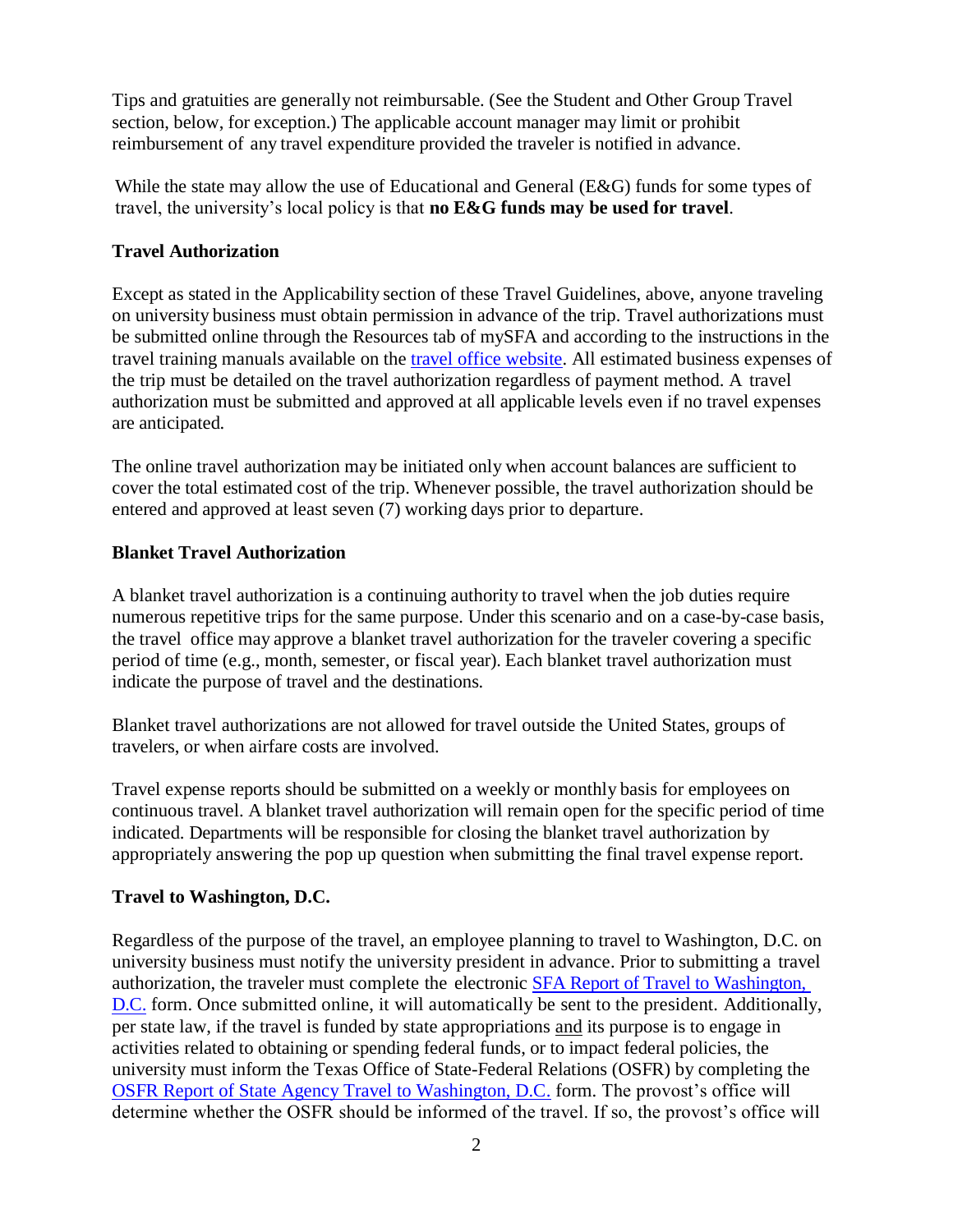Tips and gratuities are generally not reimbursable. (See the Student and Other Group Travel section, below, for exception.) The applicable account manager may limit or prohibit reimbursement of any travel expenditure provided the traveler is notified in advance.

While the state may allow the use of Educational and General (E&G) funds for some types of travel, the university's local policy is that **no E&G funds may be used for travel**.

# **Travel Authorization**

Except as stated in the Applicability section of these Travel Guidelines, above, anyone traveling on university business must obtain permission in advance of the trip. Travel authorizations must be submitted online through the Resources tab of mySFA and according to the instructions in the travel training manuals available on the travel [office website.](http://www.sfasu.edu/controller/travel/) All estimated business expenses of the trip must be detailed on the travel authorization regardless of payment method. A travel authorization must be submitted and approved at all applicable levels even if no travel expenses are anticipated.

The online travel authorization may be initiated only when account balances are sufficient to cover the total estimated cost of the trip. Whenever possible, the travel authorization should be entered and approved at least seven (7) working days prior to departure.

# **Blanket Travel Authorization**

A blanket travel authorization is a continuing authority to travel when the job duties require numerous repetitive trips for the same purpose. Under this scenario and on a case-by-case basis, the travel office may approve a blanket travel authorization for the traveler covering a specific period of time (e.g., month, semester, or fiscal year). Each blanket travel authorization must indicate the purpose of travel and the destinations.

Blanket travel authorizations are not allowed for travel outside the United States, groups of travelers, or when airfare costs are involved.

Travel expense reports should be submitted on a weekly or monthly basis for employees on continuous travel. A blanket travel authorization will remain open for the specific period of time indicated. Departments will be responsible for closing the blanket travel authorization by appropriately answering the pop up question when submitting the final travel expense report.

# **Travel to Washington, D.C.**

Regardless of the purpose of the travel, an employee planning to travel to Washington, D.C. on university business must notify the university president in advance. Prior to submitting a travel authorization, the traveler must complete the electronic SFA [Report of Travel to Washington,](https://ssb.sfasu.edu/sg/wf_fr.traveldc)  [D.C.](https://ssb.sfasu.edu/sg/wf_fr.traveldc) form. Once submitted online, it will automatically be sent to the president. Additionally, per state law, if the travel is funded by state appropriations and its purpose is to engage in activities related to obtaining or spending federal funds, or to impact federal policies, the university must inform the Texas Office of State-Federal Relations (OSFR) by completing the [OSFR Report of State Agency Travel to Washington, D.C.](https://gov.texas.gov/uploads/files/general/State_Funded_Travel_To_DC_Form_2015.pdf) form. The provost's office will determine whether the OSFR should be informed of the travel. If so, the provost's office will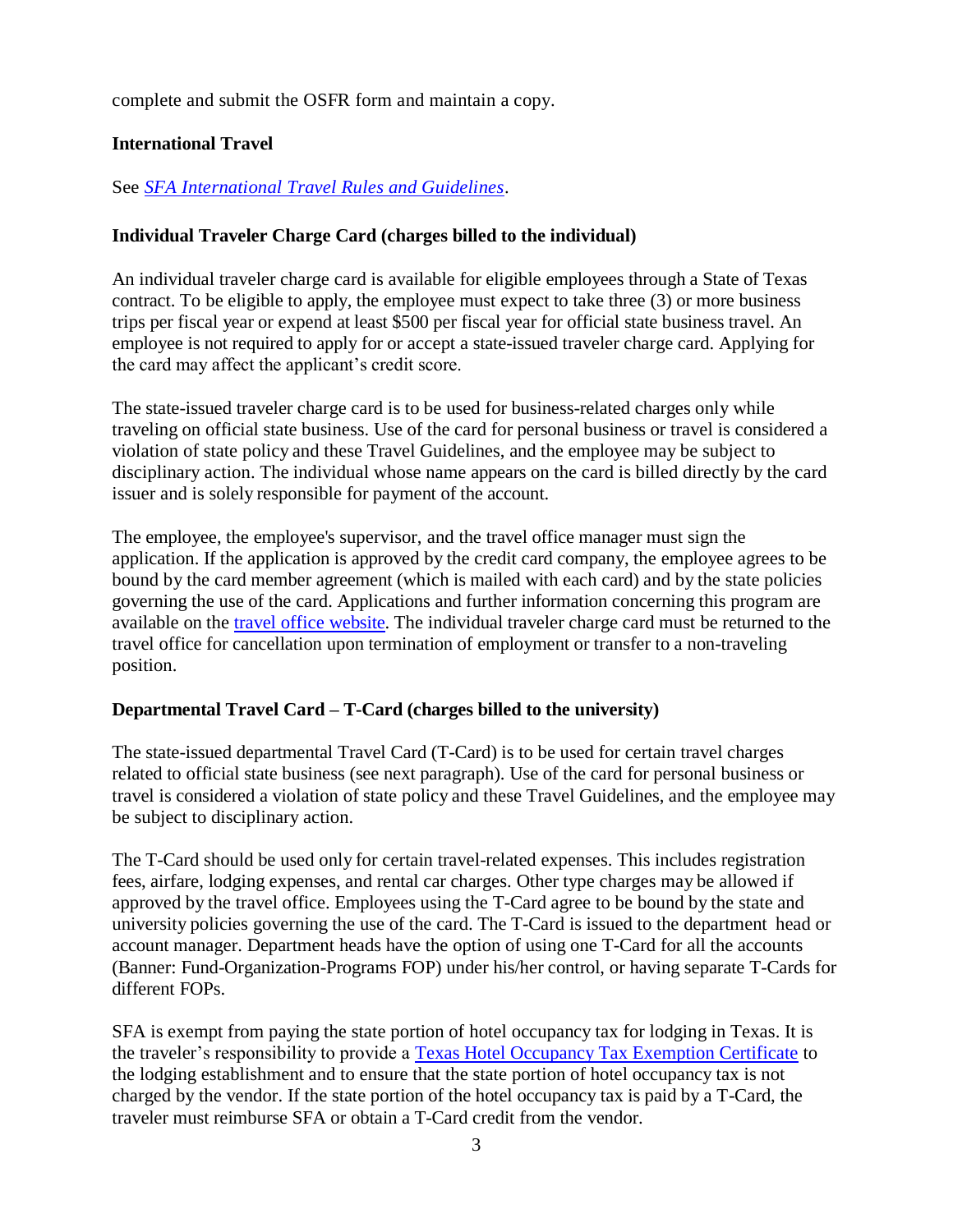complete and submit the OSFR form and maintain a copy.

# **International Travel**

See *[SFA International Travel Rules and Guidelines](http://www.sfasu.edu/controller/travel/docs/sfa-international-travel-rules-and-guidelines.pdf)*.

# **Individual Traveler Charge Card (charges billed to the individual)**

An individual traveler charge card is available for eligible employees through a State of Texas contract. To be eligible to apply, the employee must expect to take three (3) or more business trips per fiscal year or expend at least \$500 per fiscal year for official state business travel. An employee is not required to apply for or accept a state-issued traveler charge card. Applying for the card may affect the applicant's credit score.

The state-issued traveler charge card is to be used for business-related charges only while traveling on official state business. Use of the card for personal business or travel is considered a violation of state policy and these Travel Guidelines, and the employee may be subject to disciplinary action. The individual whose name appears on the card is billed directly by the card issuer and is solely responsible for payment of the account.

The employee, the employee's supervisor, and the travel office manager must sign the application. If the application is approved by the credit card company, the employee agrees to be bound by the card member agreement (which is mailed with each card) and by the state policies governing the use of the card. Applications and further information concerning this program are available on the travel [office website.](http://www.sfasu.edu/controller/travel/) The individual traveler charge card must be returned to the travel office for cancellation upon termination of employment or transfer to a non-traveling position.

# **Departmental Travel Card – T-Card (charges billed to the university)**

The state-issued departmental Travel Card (T-Card) is to be used for certain travel charges related to official state business (see next paragraph). Use of the card for personal business or travel is considered a violation of state policy and these Travel Guidelines, and the employee may be subject to disciplinary action.

The T-Card should be used only for certain travel-related expenses. This includes registration fees, airfare, lodging expenses, and rental car charges. Other type charges may be allowed if approved by the travel office. Employees using the T-Card agree to be bound by the state and university policies governing the use of the card. The T-Card is issued to the department head or account manager. Department heads have the option of using one T-Card for all the accounts (Banner: Fund-Organization-Programs FOP) under his/her control, or having separate T-Cards for different FOPs.

SFA is exempt from paying the state portion of hotel occupancy tax for lodging in Texas. It is the traveler's responsibility to provide a [Texas Hotel Occupancy Tax Exemption Certificate](http://www.sfasu.edu/purchasing/documents/TX_-_Hotel_Occupancy_Tax_Exemption_Certificate.pdf) to the lodging establishment and to ensure that the state portion of hotel occupancy tax is not charged by the vendor. If the state portion of the hotel occupancy tax is paid by a T-Card, the traveler must reimburse SFA or obtain a T-Card credit from the vendor.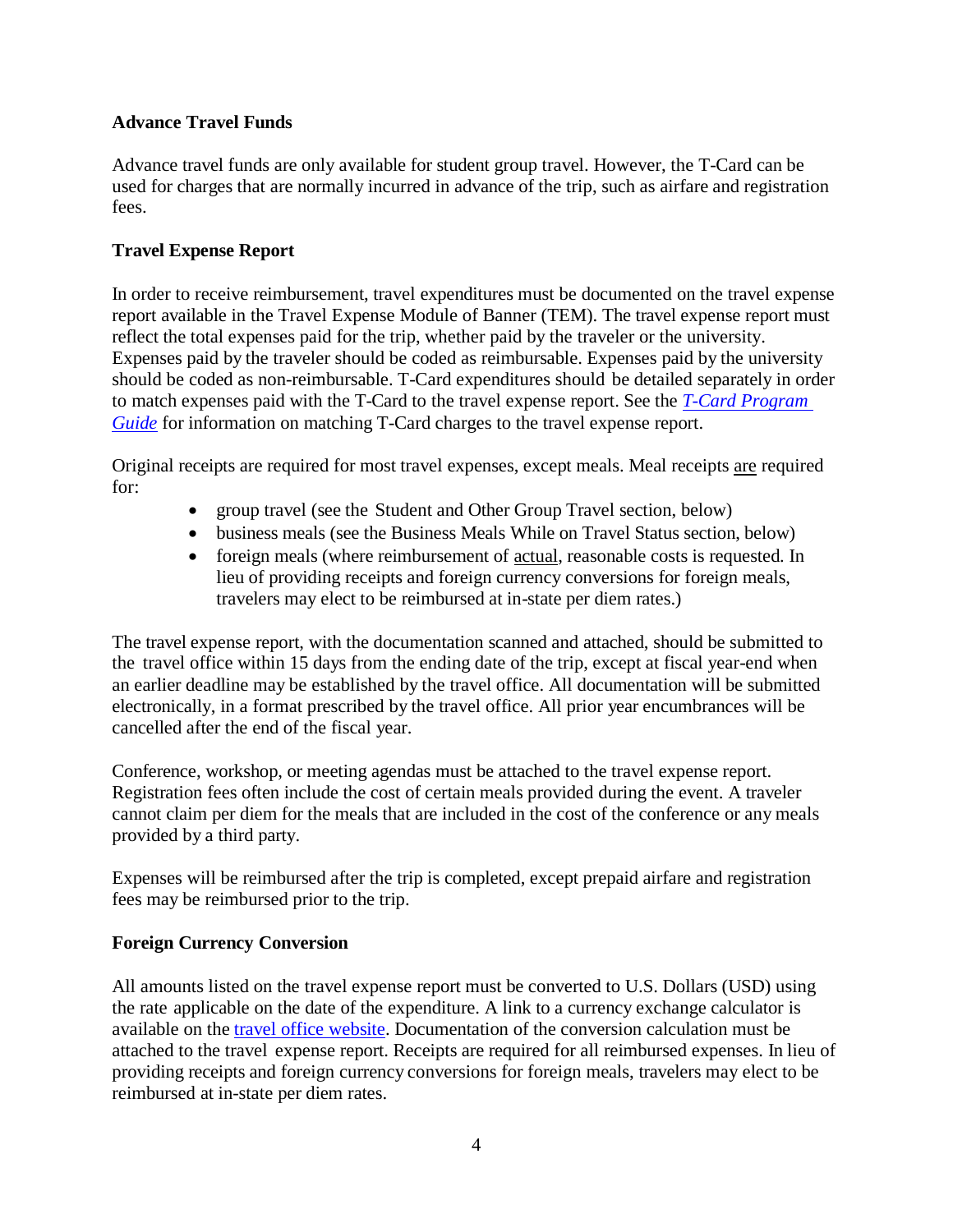### **Advance Travel Funds**

Advance travel funds are only available for student group travel. However, the T-Card can be used for charges that are normally incurred in advance of the trip, such as airfare and registration fees.

### **Travel Expense Report**

In order to receive reimbursement, travel expenditures must be documented on the travel expense report available in the Travel Expense Module of Banner (TEM). The travel expense report must reflect the total expenses paid for the trip, whether paid by the traveler or the university. Expenses paid by the traveler should be coded as reimbursable. Expenses paid by the university should be coded as non-reimbursable. T-Card expenditures should be detailed separately in order to match expenses paid with the T-Card to the travel expense report. See the *T-Card [Program](http://www.sfasu.edu/controller/travel/forms/travel-card-guide.pdf)  [Guide](http://www.sfasu.edu/controller/travel/forms/travel-card-guide.pdf)* for information on matching T-Card charges to the travel expense report.

Original receipts are required for most travel expenses, except meals. Meal receipts are required for:

- group travel (see the Student and Other Group Travel section, below)
- business meals (see the Business Meals While on Travel Status section, below)
- foreign meals (where reimbursement of actual, reasonable costs is requested. In lieu of providing receipts and foreign currency conversions for foreign meals, travelers may elect to be reimbursed at in-state per diem rates.)

The travel expense report, with the documentation scanned and attached, should be submitted to the travel office within 15 days from the ending date of the trip, except at fiscal year-end when an earlier deadline may be established by the travel office. All documentation will be submitted electronically, in a format prescribed by the travel office. All prior year encumbrances will be cancelled after the end of the fiscal year.

Conference, workshop, or meeting agendas must be attached to the travel expense report. Registration fees often include the cost of certain meals provided during the event. A traveler cannot claim per diem for the meals that are included in the cost of the conference or any meals provided by a third party.

Expenses will be reimbursed after the trip is completed, except prepaid airfare and registration fees may be reimbursed prior to the trip.

#### **Foreign Currency Conversion**

All amounts listed on the travel expense report must be converted to U.S. Dollars (USD) using the rate applicable on the date of the expenditure. A link to a currency exchange calculator is available on the travel office [website.](http://www.sfasu.edu/controller/travel/) Documentation of the conversion calculation must be attached to the travel expense report. Receipts are required for all reimbursed expenses. In lieu of providing receipts and foreign currency conversions for foreign meals, travelers may elect to be reimbursed at in-state per diem rates.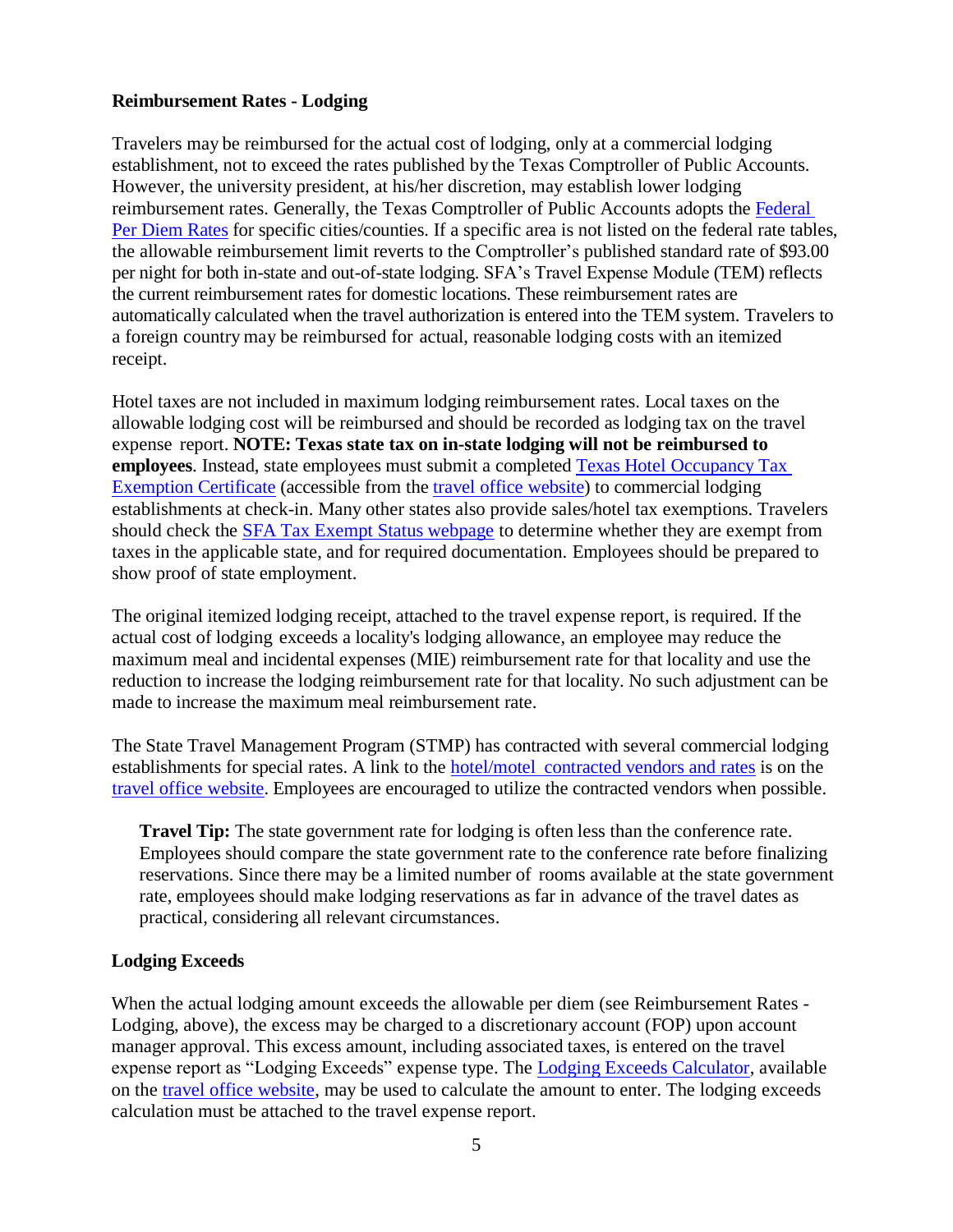#### **Reimbursement Rates - Lodging**

Travelers may be reimbursed for the actual cost of lodging, only at a commercial lodging establishment, not to exceed the rates published by the Texas Comptroller of Public Accounts. However, the university president, at his/her discretion, may establish lower lodging reimbursement rates. Generally, the Texas Comptroller of Public Accounts adopts the [Federal](https://www.gsa.gov/travel/plan-book/per-diem-rates) Per [Diem](https://www.gsa.gov/travel/plan-book/per-diem-rates) Rates for specific cities/counties. If a specific area is not listed on the federal rate tables, the allowable reimbursement limit reverts to the Comptroller's published standard rate of \$93.00 per night for both in-state and out-of-state lodging. SFA's Travel Expense Module (TEM) reflects the current reimbursement rates for domestic locations. These reimbursement rates are automatically calculated when the travel authorization is entered into the TEM system. Travelers to a foreign country may be reimbursed for actual, reasonable lodging costs with an itemized receipt.

Hotel taxes are not included in maximum lodging reimbursement rates. Local taxes on the allowable lodging cost will be reimbursed and should be recorded as lodging tax on the travel expense report. **NOTE: Texas state tax on in-state lodging will not be reimbursed to employees**. Instead, state employees must submit a completed Texas Hotel [Occupancy](http://www.sfasu.edu/purchasing/documents/TX_-_Hotel_Occupancy_Tax_Exemption_Certificate.pdf) Tax [Exemption](http://www.sfasu.edu/purchasing/documents/TX_-_Hotel_Occupancy_Tax_Exemption_Certificate.pdf) Certificate (accessible from the travel office [website\)](http://www.sfasu.edu/controller/travel/) to commercial lodging establishments at check-in. Many other states also provide sales/hotel tax exemptions. Travelers should check the [SFA Tax Exempt Status webpage](http://www.sfasu.edu/purchasing/721.asp#tax-ex) to determine whether they are exempt from taxes in the applicable state, and for required documentation. Employees should be prepared to show proof of state employment.

The original itemized lodging receipt, attached to the travel expense report, is required. If the actual cost of lodging exceeds a locality's lodging allowance, an employee may reduce the maximum meal and incidental expenses (MIE) reimbursement rate for that locality and use the reduction to increase the lodging reimbursement rate for that locality. No such adjustment can be made to increase the maximum meal reimbursement rate.

The State Travel Management Program (STMP) has contracted with several commercial lodging establishments for special rates. A link to the hotel/motel [contracted vendors and](https://portal.cpa.state.tx.us/hotel/hotel_directory/showalpha.cfm?st=TX&fy=2017) rates is on the [travel office website.](http://www.sfasu.edu/controller/travel/) Employees are encouraged to utilize the contracted vendors when possible.

**Travel Tip:** The state government rate for lodging is often less than the conference rate. Employees should compare the state government rate to the conference rate before finalizing reservations. Since there may be a limited number of rooms available at the state government rate, employees should make lodging reservations as far in advance of the travel dates as practical, considering all relevant circumstances.

#### **Lodging Exceeds**

When the actual lodging amount exceeds the allowable per diem (see Reimbursement Rates - Lodging, above), the excess may be charged to a discretionary account (FOP) upon account manager approval. This excess amount, including associated taxes, is entered on the travel expense report as "Lodging Exceeds" expense type. The [Lodging Exceeds Calculator,](http://www.sfasu.edu/controller/travel/forms/lodging-exceeds-calculator.xlsx) available on the [travel office website,](http://www.sfasu.edu/controller/travel/) may be used to calculate the amount to enter. The lodging exceeds calculation must be attached to the travel expense report.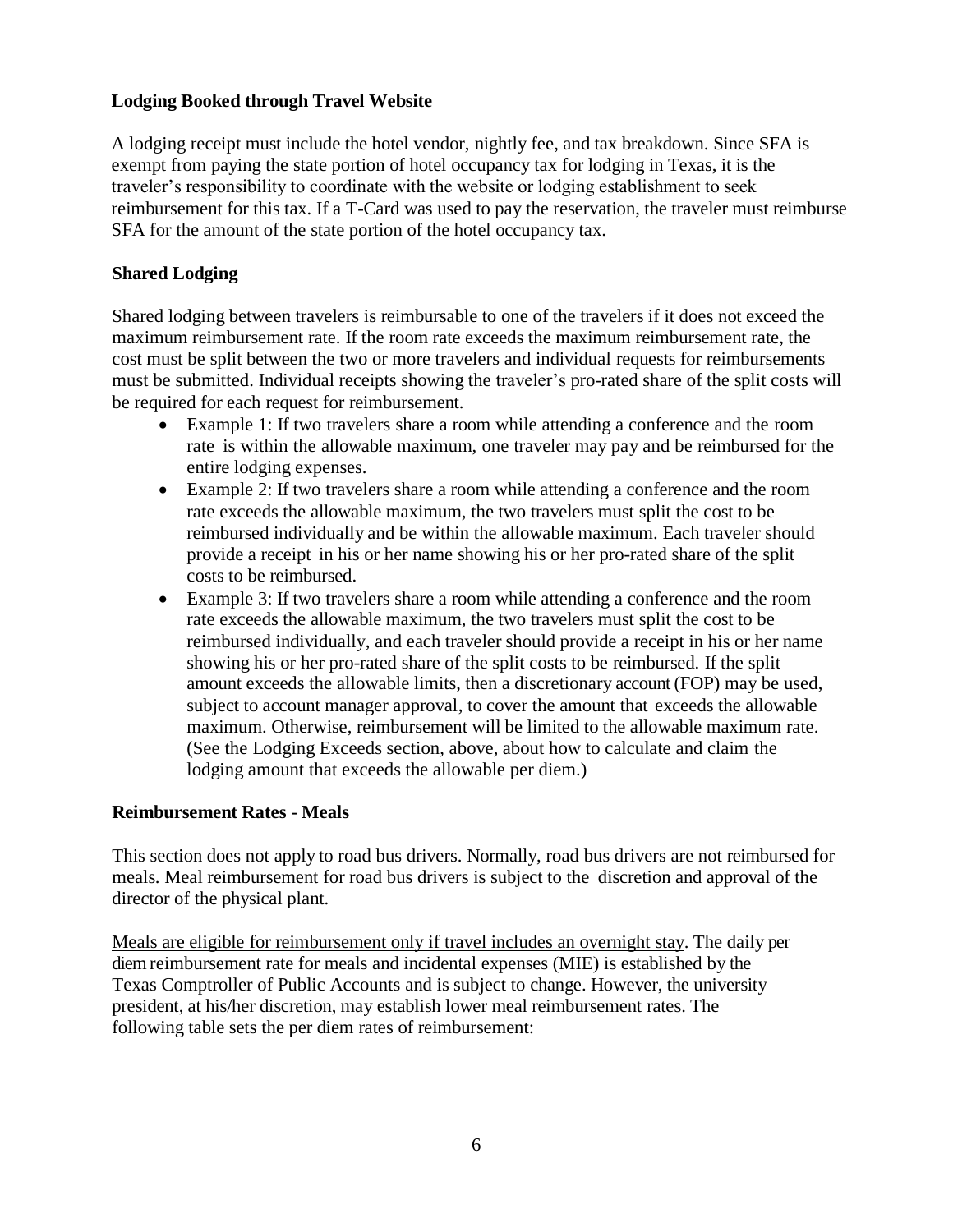### **Lodging Booked through Travel Website**

A lodging receipt must include the hotel vendor, nightly fee, and tax breakdown. Since SFA is exempt from paying the state portion of hotel occupancy tax for lodging in Texas, it is the traveler's responsibility to coordinate with the website or lodging establishment to seek reimbursement for this tax. If a T-Card was used to pay the reservation, the traveler must reimburse SFA for the amount of the state portion of the hotel occupancy tax.

# **Shared Lodging**

Shared lodging between travelers is reimbursable to one of the travelers if it does not exceed the maximum reimbursement rate. If the room rate exceeds the maximum reimbursement rate, the cost must be split between the two or more travelers and individual requests for reimbursements must be submitted. Individual receipts showing the traveler's pro-rated share of the split costs will be required for each request for reimbursement.

- Example 1: If two travelers share a room while attending a conference and the room rate is within the allowable maximum, one traveler may pay and be reimbursed for the entire lodging expenses.
- Example 2: If two travelers share a room while attending a conference and the room rate exceeds the allowable maximum, the two travelers must split the cost to be reimbursed individually and be within the allowable maximum. Each traveler should provide a receipt in his or her name showing his or her pro-rated share of the split costs to be reimbursed.
- Example 3: If two travelers share a room while attending a conference and the room rate exceeds the allowable maximum, the two travelers must split the cost to be reimbursed individually, and each traveler should provide a receipt in his or her name showing his or her pro-rated share of the split costs to be reimbursed. If the split amount exceeds the allowable limits, then a discretionary account (FOP) may be used, subject to account manager approval, to cover the amount that exceeds the allowable maximum. Otherwise, reimbursement will be limited to the allowable maximum rate. (See the Lodging Exceeds section, above, about how to calculate and claim the lodging amount that exceeds the allowable per diem.)

#### **Reimbursement Rates - Meals**

This section does not apply to road bus drivers. Normally, road bus drivers are not reimbursed for meals. Meal reimbursement for road bus drivers is subject to the discretion and approval of the director of the physical plant.

Meals are eligible for reimbursement only if travel includes an overnight stay. The daily per diem reimbursement rate for meals and incidental expenses (MIE) is established by the Texas Comptroller of Public Accounts and is subject to change. However, the university president, at his/her discretion, may establish lower meal reimbursement rates. The following table sets the per diem rates of reimbursement: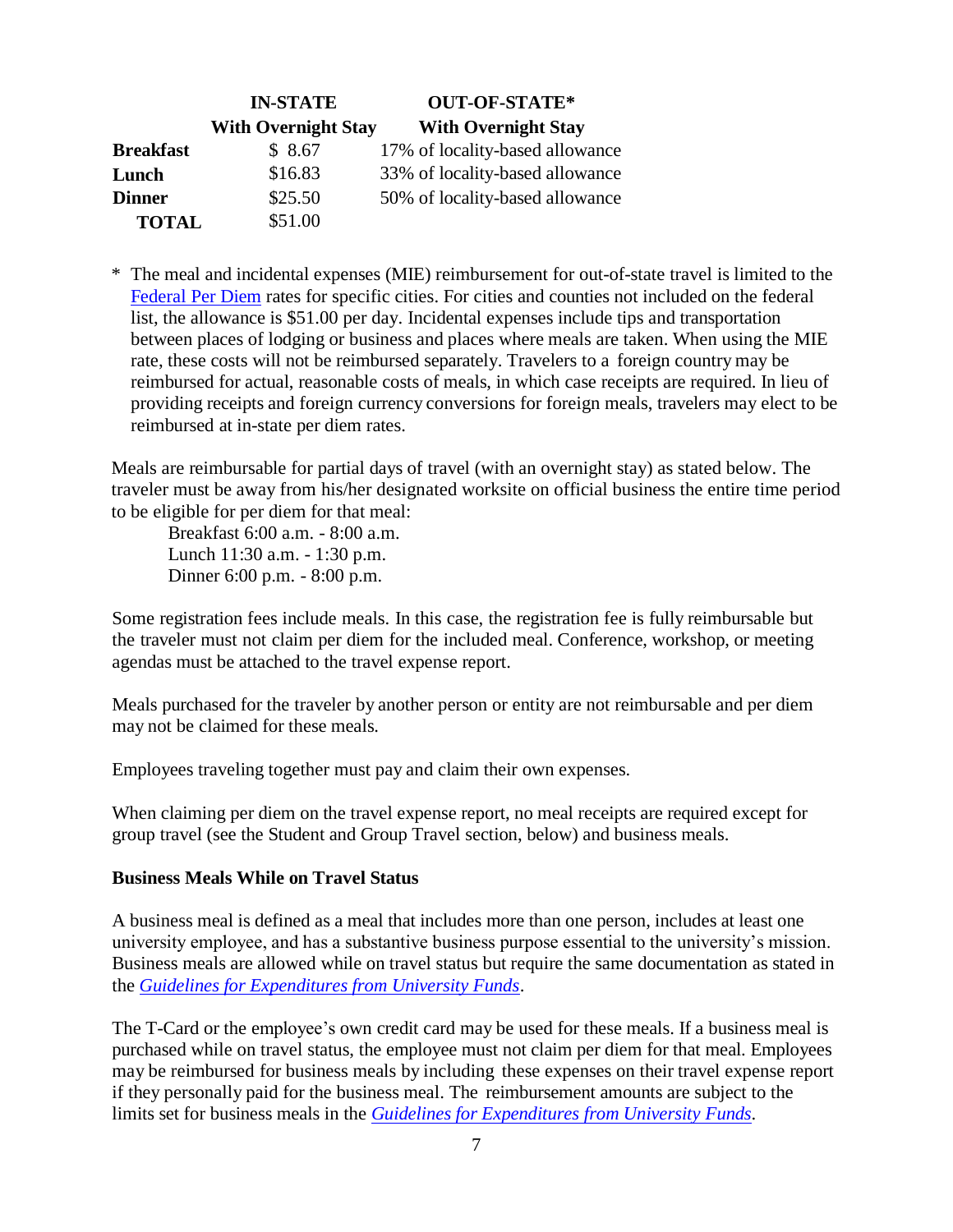|                  | <b>IN-STATE</b>            | <b>OUT-OF-STATE*</b>            |
|------------------|----------------------------|---------------------------------|
|                  | <b>With Overnight Stay</b> | <b>With Overnight Stay</b>      |
| <b>Breakfast</b> | \$8.67                     | 17% of locality-based allowance |
| Lunch            | \$16.83                    | 33% of locality-based allowance |
| <b>Dinner</b>    | \$25.50                    | 50% of locality-based allowance |
| <b>TOTAL</b>     | \$51.00                    |                                 |

\* The meal and incidental expenses (MIE) reimbursement for out-of-state travel is limited to the Federal [Per Diem](https://www.gsa.gov/travel/plan-book/per-diem-rates) rates for specific cities. For cities and counties not included on the federal list, the allowance is \$51.00 per day. Incidental expenses include tips and transportation between places of lodging or business and places where meals are taken. When using the MIE rate, these costs will not be reimbursed separately. Travelers to a foreign country may be reimbursed for actual, reasonable costs of meals, in which case receipts are required. In lieu of providing receipts and foreign currency conversions for foreign meals, travelers may elect to be reimbursed at in-state per diem rates.

Meals are reimbursable for partial days of travel (with an overnight stay) as stated below. The traveler must be away from his/her designated worksite on official business the entire time period to be eligible for per diem for that meal:

Breakfast 6:00 a.m. - 8:00 a.m. Lunch 11:30 a.m. - 1:30 p.m. Dinner 6:00 p.m. - 8:00 p.m.

Some registration fees include meals. In this case, the registration fee is fully reimbursable but the traveler must not claim per diem for the included meal. Conference, workshop, or meeting agendas must be attached to the travel expense report.

Meals purchased for the traveler by another person or entity are not reimbursable and per diem may not be claimed for these meals.

Employees traveling together must pay and claim their own expenses.

When claiming per diem on the travel expense report, no meal receipts are required except for group travel (see the Student and Group Travel section, below) and business meals.

#### **Business Meals While on Travel Status**

A business meal is defined as a meal that includes more than one person, includes at least one university employee, and has a substantive business purpose essential to the university's mission. Business meals are allowed while on travel status but require the same documentation as stated in the *[Guidelines for Expenditures from University Funds](http://www.sfasu.edu/controller/docs/guidelines-for-expenditures-from-university-funds.pdf)*.

The T-Card or the employee's own credit card may be used for these meals. If a business meal is purchased while on travel status, the employee must not claim per diem for that meal. Employees may be reimbursed for business meals by including these expenses on their travel expense report if they personally paid for the business meal. The reimbursement amounts are subject to the limits set for business meals in the *[Guidelines for Expenditures from University](http://www.sfasu.edu/controller/docs/guidelines-for-expenditures-from-university-funds.pdf) Funds*.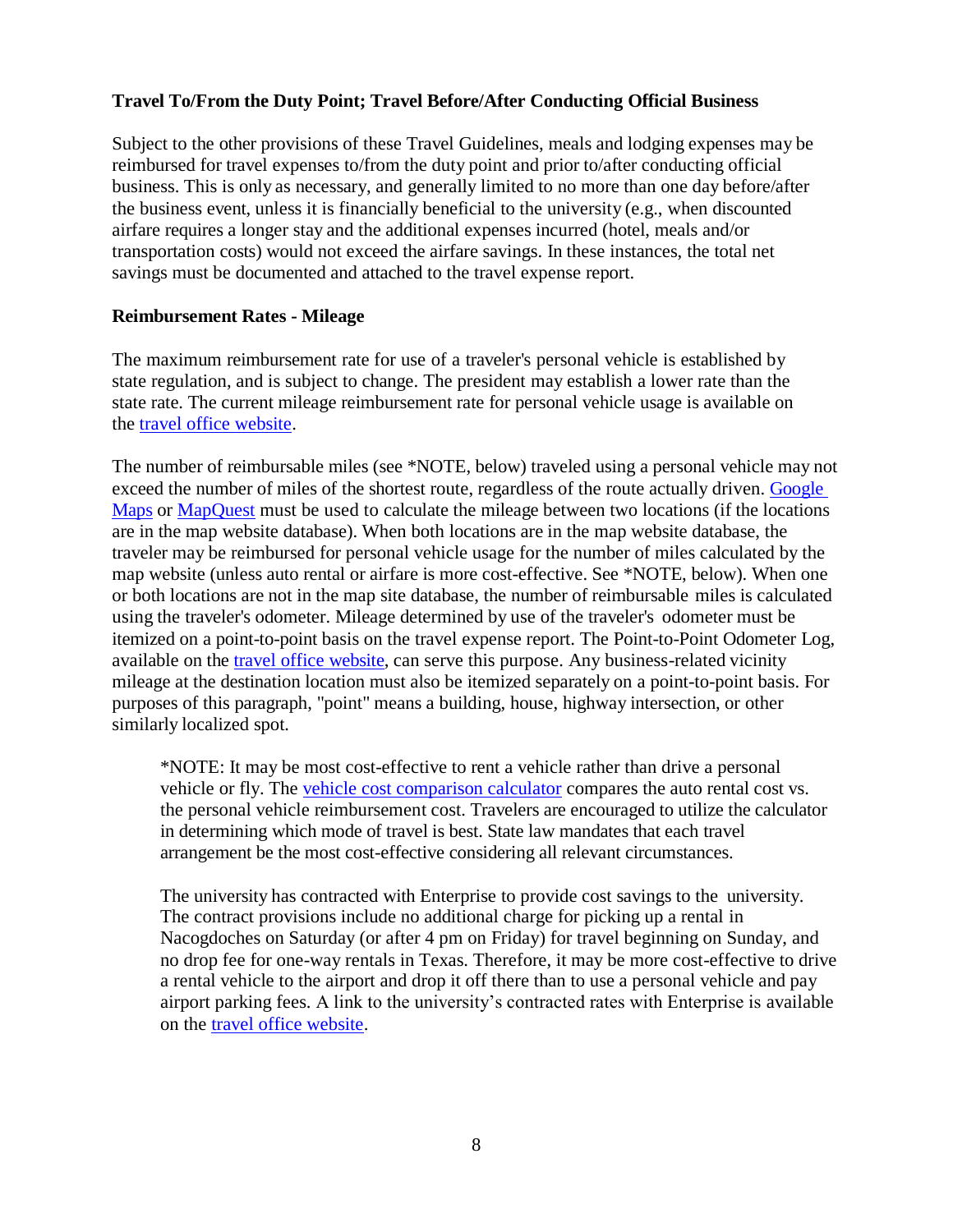#### **Travel To/From the Duty Point; Travel Before/After Conducting Official Business**

Subject to the other provisions of these Travel Guidelines, meals and lodging expenses may be reimbursed for travel expenses to/from the duty point and prior to/after conducting official business. This is only as necessary, and generally limited to no more than one day before/after the business event, unless it is financially beneficial to the university (e.g., when discounted airfare requires a longer stay and the additional expenses incurred (hotel, meals and/or transportation costs) would not exceed the airfare savings. In these instances, the total net savings must be documented and attached to the travel expense report.

#### **Reimbursement Rates - Mileage**

The maximum reimbursement rate for use of a traveler's personal vehicle is established by state regulation, and is subject to change. The president may establish a lower rate than the state rate. The current mileage reimbursement rate for personal vehicle usage is available on the [travel office website.](http://www.sfasu.edu/controller/travel/)

The number of reimbursable miles (see \*NOTE, below) traveled using a personal vehicle may not exceed the number of miles of the shortest route, regardless of the route actually driven. Google [Maps](https://www.google.com/maps) or [MapQuest](https://www.mapquest.com/directions) must be used to calculate the mileage between two locations (if the locations are in the map website database). When both locations are in the map website database, the traveler may be reimbursed for personal vehicle usage for the number of miles calculated by the map website (unless auto rental or airfare is more cost-effective. See \*NOTE, below). When one or both locations are not in the map site database, the number of reimbursable miles is calculated using the traveler's odometer. Mileage determined by use of the traveler's odometer must be itemized on a point-to-point basis on the travel expense report. The Point-to-Point Odometer Log, available on the travel [office website,](http://www.sfasu.edu/controller/travel/) can serve this purpose. Any business-related vicinity mileage at the destination location must also be itemized separately on a point-to-point basis. For purposes of this paragraph, "point" means a building, house, highway intersection, or other similarly localized spot.

\*NOTE: It may be most cost-effective to rent a vehicle rather than drive a personal vehicle or fly. The [vehicle cost comparison calculator](http://www.sfasu.edu/controller/travel/docs/Vehicle-Cost-Comparison-Calculator.xls) compares the auto rental cost vs. the personal vehicle reimbursement cost. Travelers are encouraged to utilize the calculator in determining which mode of travel is best. State law mandates that each travel arrangement be the most cost-effective considering all relevant circumstances.

The university has contracted with Enterprise to provide cost savings to the university. The contract provisions include no additional charge for picking up a rental in Nacogdoches on Saturday (or after 4 pm on Friday) for travel beginning on Sunday, and no drop fee for one-way rentals in Texas. Therefore, it may be more cost-effective to drive a rental vehicle to the airport and drop it off there than to use a personal vehicle and pay airport parking fees. A link to the university's contracted rates with Enterprise is available on the [travel office website.](http://www.sfasu.edu/controller/travel/)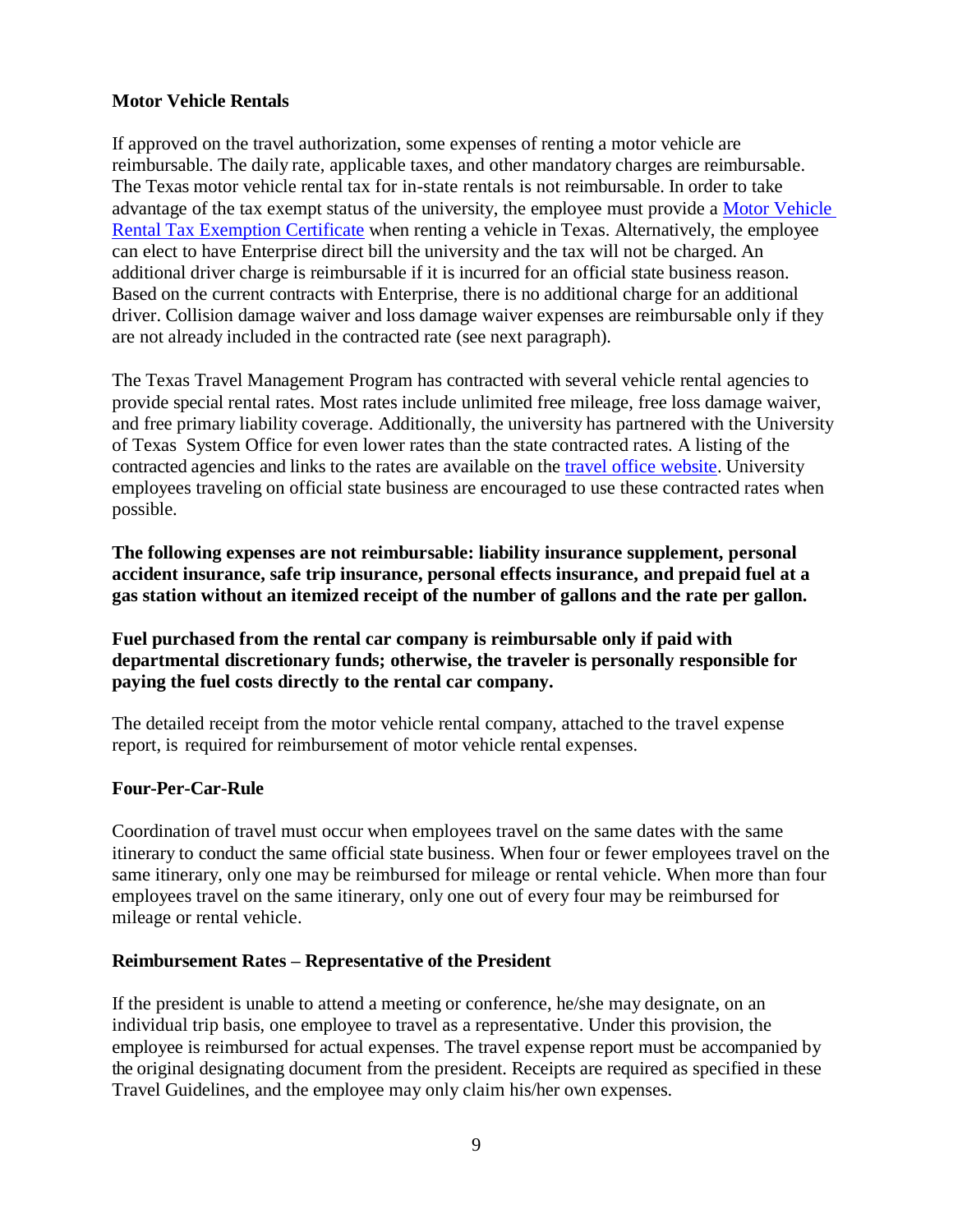#### **Motor Vehicle Rentals**

If approved on the travel authorization, some expenses of renting a motor vehicle are reimbursable. The daily rate, applicable taxes, and other mandatory charges are reimbursable. The Texas motor vehicle rental tax for in-state rentals is not reimbursable. In order to take advantage of the tax exempt status of the university, the employee must provide a [Motor Vehicle](http://www.sfasu.edu/purchasing/721.asp#tax-ex)  [Rental Tax Exemption Certificate](http://www.sfasu.edu/purchasing/721.asp#tax-ex) when renting a vehicle in Texas. Alternatively, the employee can elect to have Enterprise direct bill the university and the tax will not be charged. An additional driver charge is reimbursable if it is incurred for an official state business reason. Based on the current contracts with Enterprise, there is no additional charge for an additional driver. Collision damage waiver and loss damage waiver expenses are reimbursable only if they are not already included in the contracted rate (see next paragraph).

The Texas Travel Management Program has contracted with several vehicle rental agencies to provide special rental rates. Most rates include unlimited free mileage, free loss damage waiver, and free primary liability coverage. Additionally, the university has partnered with the University of Texas System Office for even lower rates than the state contracted rates. A listing of the contracted agencies and links to the rates are available on the travel [office website.](http://www.sfasu.edu/controller/travel/) University employees traveling on official state business are encouraged to use these contracted rates when possible.

**The following expenses are not reimbursable: liability insurance supplement, personal accident insurance, safe trip insurance, personal effects insurance, and prepaid fuel at a gas station without an itemized receipt of the number of gallons and the rate per gallon.** 

**Fuel purchased from the rental car company is reimbursable only if paid with departmental discretionary funds; otherwise, the traveler is personally responsible for paying the fuel costs directly to the rental car company.**

The detailed receipt from the motor vehicle rental company, attached to the travel expense report, is required for reimbursement of motor vehicle rental expenses.

#### **Four-Per-Car-Rule**

Coordination of travel must occur when employees travel on the same dates with the same itinerary to conduct the same official state business. When four or fewer employees travel on the same itinerary, only one may be reimbursed for mileage or rental vehicle. When more than four employees travel on the same itinerary, only one out of every four may be reimbursed for mileage or rental vehicle.

#### **Reimbursement Rates – Representative of the President**

If the president is unable to attend a meeting or conference, he/she may designate, on an individual trip basis, one employee to travel as a representative. Under this provision, the employee is reimbursed for actual expenses. The travel expense report must be accompanied by the original designating document from the president. Receipts are required as specified in these Travel Guidelines, and the employee may only claim his/her own expenses.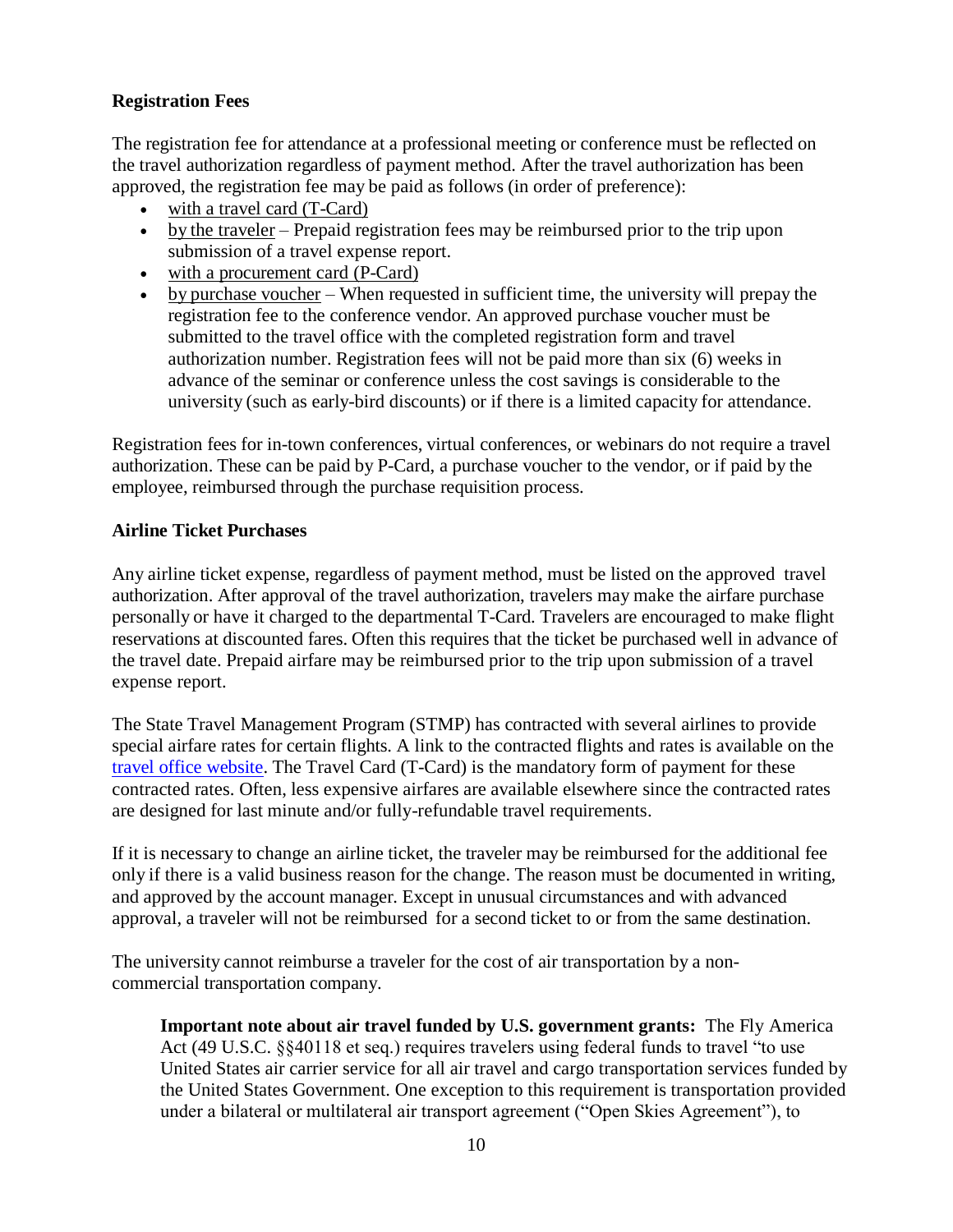# **Registration Fees**

The registration fee for attendance at a professional meeting or conference must be reflected on the travel authorization regardless of payment method. After the travel authorization has been approved, the registration fee may be paid as follows (in order of preference):

- with a travel card (T-Card)
- by the traveler Prepaid registration fees may be reimbursed prior to the trip upon submission of a travel expense report.
- with a procurement card (P-Card)
- by purchase voucher When requested in sufficient time, the university will prepay the registration fee to the conference vendor. An approved purchase voucher must be submitted to the travel office with the completed registration form and travel authorization number. Registration fees will not be paid more than six (6) weeks in advance of the seminar or conference unless the cost savings is considerable to the university (such as early-bird discounts) or if there is a limited capacity for attendance.

Registration fees for in-town conferences, virtual conferences, or webinars do not require a travel authorization. These can be paid by P-Card, a purchase voucher to the vendor, or if paid by the employee, reimbursed through the purchase requisition process.

### **Airline Ticket Purchases**

Any airline ticket expense, regardless of payment method, must be listed on the approved travel authorization. After approval of the travel authorization, travelers may make the airfare purchase personally or have it charged to the departmental T-Card. Travelers are encouraged to make flight reservations at discounted fares. Often this requires that the ticket be purchased well in advance of the travel date. Prepaid airfare may be reimbursed prior to the trip upon submission of a travel expense report.

The State Travel Management Program (STMP) has contracted with several airlines to provide special airfare rates for certain flights. A link to the contracted flights and rates is available on the travel office [website.](http://www.sfasu.edu/controller/travel/) The Travel Card (T-Card) is the mandatory form of payment for these contracted rates. Often, less expensive airfares are available elsewhere since the contracted rates are designed for last minute and/or fully-refundable travel requirements.

If it is necessary to change an airline ticket, the traveler may be reimbursed for the additional fee only if there is a valid business reason for the change. The reason must be documented in writing, and approved by the account manager. Except in unusual circumstances and with advanced approval, a traveler will not be reimbursed for a second ticket to or from the same destination.

The university cannot reimburse a traveler for the cost of air transportation by a noncommercial transportation company.

**Important note about air travel funded by U.S. government grants:** The Fly America Act (49 U.S.C. §§40118 et seq.) requires travelers using federal funds to travel "to use United States air carrier service for all air travel and cargo transportation services funded by the United States Government. One exception to this requirement is transportation provided under a bilateral or multilateral air transport agreement ("Open Skies Agreement"), to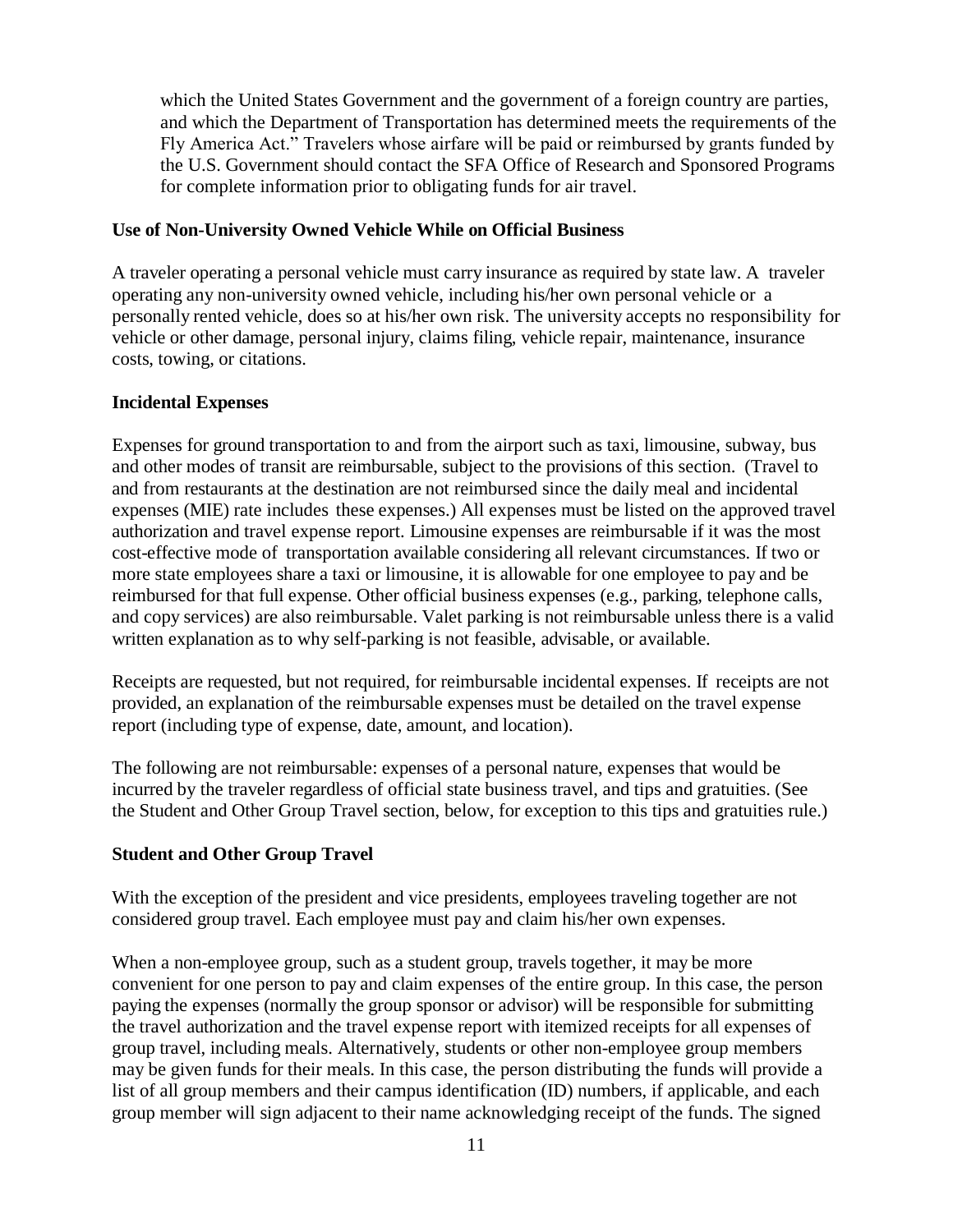which the United States Government and the government of a foreign country are parties, and which the Department of Transportation has determined meets the requirements of the Fly America Act." Travelers whose airfare will be paid or reimbursed by grants funded by the U.S. Government should contact the SFA Office of Research and Sponsored Programs for complete information prior to obligating funds for air travel.

#### **Use of Non-University Owned Vehicle While on Official Business**

A traveler operating a personal vehicle must carry insurance as required by state law. A traveler operating any non-university owned vehicle, including his/her own personal vehicle or a personally rented vehicle, does so at his/her own risk. The university accepts no responsibility for vehicle or other damage, personal injury, claims filing, vehicle repair, maintenance, insurance costs, towing, or citations.

### **Incidental Expenses**

Expenses for ground transportation to and from the airport such as taxi, limousine, subway, bus and other modes of transit are reimbursable, subject to the provisions of this section. (Travel to and from restaurants at the destination are not reimbursed since the daily meal and incidental expenses (MIE) rate includes these expenses.) All expenses must be listed on the approved travel authorization and travel expense report. Limousine expenses are reimbursable if it was the most cost-effective mode of transportation available considering all relevant circumstances. If two or more state employees share a taxi or limousine, it is allowable for one employee to pay and be reimbursed for that full expense. Other official business expenses (e.g., parking, telephone calls, and copy services) are also reimbursable. Valet parking is not reimbursable unless there is a valid written explanation as to why self-parking is not feasible, advisable, or available.

Receipts are requested, but not required, for reimbursable incidental expenses. If receipts are not provided, an explanation of the reimbursable expenses must be detailed on the travel expense report (including type of expense, date, amount, and location).

The following are not reimbursable: expenses of a personal nature, expenses that would be incurred by the traveler regardless of official state business travel, and tips and gratuities. (See the Student and Other Group Travel section, below, for exception to this tips and gratuities rule.)

# **Student and Other Group Travel**

With the exception of the president and vice presidents, employees traveling together are not considered group travel. Each employee must pay and claim his/her own expenses.

When a non-employee group, such as a student group, travels together, it may be more convenient for one person to pay and claim expenses of the entire group. In this case, the person paying the expenses (normally the group sponsor or advisor) will be responsible for submitting the travel authorization and the travel expense report with itemized receipts for all expenses of group travel, including meals. Alternatively, students or other non-employee group members may be given funds for their meals. In this case, the person distributing the funds will provide a list of all group members and their campus identification (ID) numbers, if applicable, and each group member will sign adjacent to their name acknowledging receipt of the funds. The signed